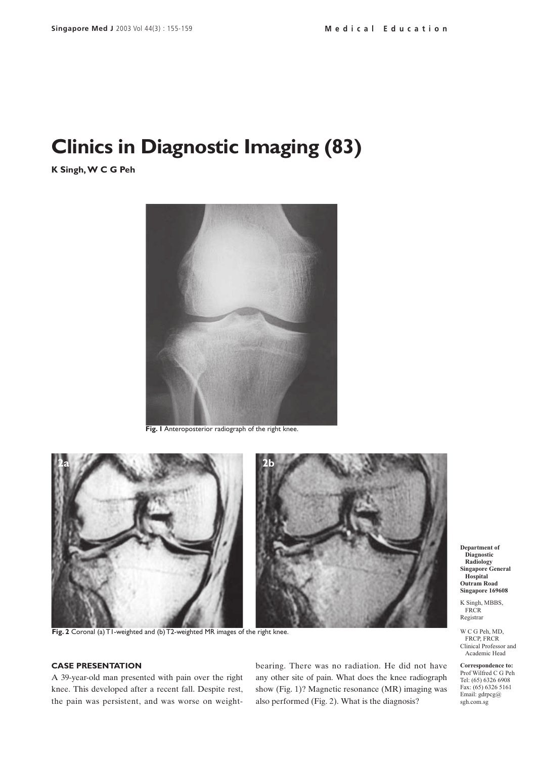# **Clinics in Diagnostic Imaging (83)**

**K Singh, W C G Peh**



**Fig. 1** Anteroposterior radiograph of the right knee.



**Fig. 2** Coronal (a) T1-weighted and (b) T2-weighted MR images of the right knee.

# **CASE PRESENTATION**

A 39-year-old man presented with pain over the right knee. This developed after a recent fall. Despite rest, the pain was persistent, and was worse on weightbearing. There was no radiation. He did not have any other site of pain. What does the knee radiograph show (Fig. 1)? Magnetic resonance (MR) imaging was also performed (Fig. 2). What is the diagnosis?

**Department of Diagnostic Radiology Singapore General Hospital Outram Road Singapore 169608**

K Singh, MBBS, FRCR<sub>1</sub> Registrar

W C G Peh, MD, FRCP, FRCR Clinical Professor and Academic Head

**Correspondence to:** Prof Wilfred C G Peh Tel: (65) 6326 6908 Fax: (65) 6326 5161 Email: gdrpcg@ sgh.com.sg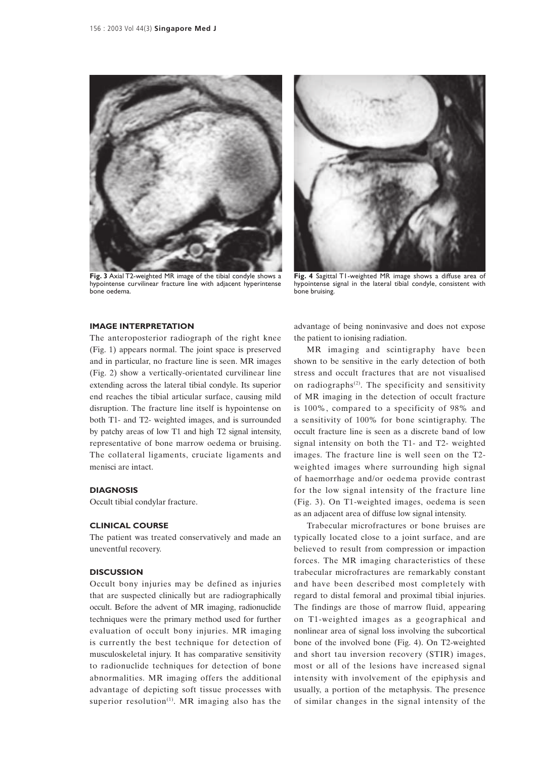

**Fig. 3** Axial T2-weighted MR image of the tibial condyle shows a hypointense curvilinear fracture line with adjacent hyperintense bone oedema.



**Fig. 4** Sagittal T1-weighted MR image shows a diffuse area of hypointense signal in the lateral tibial condyle, consistent with bone bruising.

#### **IMAGE INTERPRETATION**

The anteroposterior radiograph of the right knee (Fig. 1) appears normal. The joint space is preserved and in particular, no fracture line is seen. MR images (Fig. 2) show a vertically-orientated curvilinear line extending across the lateral tibial condyle. Its superior end reaches the tibial articular surface, causing mild disruption. The fracture line itself is hypointense on both T1- and T2- weighted images, and is surrounded by patchy areas of low T1 and high T2 signal intensity, representative of bone marrow oedema or bruising. The collateral ligaments, cruciate ligaments and menisci are intact.

#### **DIAGNOSIS**

Occult tibial condylar fracture.

## **CLINICAL COURSE**

The patient was treated conservatively and made an uneventful recovery.

### **DISCUSSION**

Occult bony injuries may be defined as injuries that are suspected clinically but are radiographically occult. Before the advent of MR imaging, radionuclide techniques were the primary method used for further evaluation of occult bony injuries. MR imaging is currently the best technique for detection of musculoskeletal injury. It has comparative sensitivity to radionuclide techniques for detection of bone abnormalities. MR imaging offers the additional advantage of depicting soft tissue processes with superior resolution<sup> $(1)$ </sup>. MR imaging also has the

advantage of being noninvasive and does not expose the patient to ionising radiation.

MR imaging and scintigraphy have been shown to be sensitive in the early detection of both stress and occult fractures that are not visualised on radiographs<sup>(2)</sup>. The specificity and sensitivity of MR imaging in the detection of occult fracture is 100%, compared to a specificity of 98% and a sensitivity of 100% for bone scintigraphy. The occult fracture line is seen as a discrete band of low signal intensity on both the T1- and T2- weighted images. The fracture line is well seen on the T2 weighted images where surrounding high signal of haemorrhage and/or oedema provide contrast for the low signal intensity of the fracture line (Fig. 3). On T1-weighted images, oedema is seen as an adjacent area of diffuse low signal intensity.

Trabecular microfractures or bone bruises are typically located close to a joint surface, and are believed to result from compression or impaction forces. The MR imaging characteristics of these trabecular microfractures are remarkably constant and have been described most completely with regard to distal femoral and proximal tibial injuries. The findings are those of marrow fluid, appearing on T1-weighted images as a geographical and nonlinear area of signal loss involving the subcortical bone of the involved bone (Fig. 4). On T2-weighted and short tau inversion recovery (STIR) images, most or all of the lesions have increased signal intensity with involvement of the epiphysis and usually, a portion of the metaphysis. The presence of similar changes in the signal intensity of the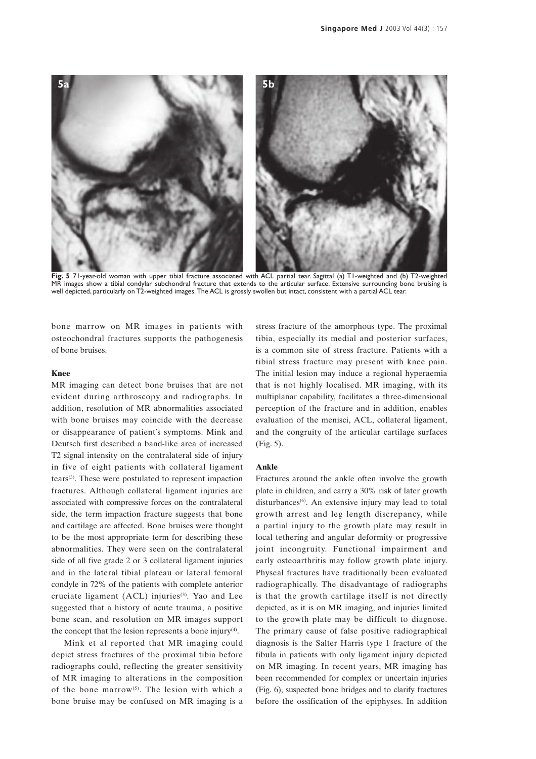

**Fig. 5** 71-year-old woman with upper tibial fracture associated with ACL partial tear. Sagittal (a) T1-weighted and (b) T2-weighted MR images show a tibial condylar subchondral fracture that extends to the articular surface. Extensive surrounding bone bruising is well depicted, particularly on T2-weighted images. The ACL is grossly swollen but intact, consistent with a partial ACL tear.

bone marrow on MR images in patients with osteochondral fractures supports the pathogenesis of bone bruises.

## **Knee**

MR imaging can detect bone bruises that are not evident during arthroscopy and radiographs. In addition, resolution of MR abnormalities associated with bone bruises may coincide with the decrease or disappearance of patient's symptoms. Mink and Deutsch first described a band-like area of increased T2 signal intensity on the contralateral side of injury in five of eight patients with collateral ligament tears(3). These were postulated to represent impaction fractures. Although collateral ligament injuries are associated with compressive forces on the contralateral side, the term impaction fracture suggests that bone and cartilage are affected. Bone bruises were thought to be the most appropriate term for describing these abnormalities. They were seen on the contralateral side of all five grade 2 or 3 collateral ligament injuries and in the lateral tibial plateau or lateral femoral condyle in 72% of the patients with complete anterior cruciate ligament  $(ACL)$  injuries<sup>(3)</sup>. Yao and Lee suggested that a history of acute trauma, a positive bone scan, and resolution on MR images support the concept that the lesion represents a bone injury $(4)$ .

Mink et al reported that MR imaging could depict stress fractures of the proximal tibia before radiographs could, reflecting the greater sensitivity of MR imaging to alterations in the composition of the bone marrow(5). The lesion with which a bone bruise may be confused on MR imaging is a stress fracture of the amorphous type. The proximal tibia, especially its medial and posterior surfaces, is a common site of stress fracture. Patients with a tibial stress fracture may present with knee pain. The initial lesion may induce a regional hyperaemia that is not highly localised. MR imaging, with its multiplanar capability, facilitates a three-dimensional perception of the fracture and in addition, enables evaluation of the menisci, ACL, collateral ligament, and the congruity of the articular cartilage surfaces (Fig. 5).

#### **Ankle**

Fractures around the ankle often involve the growth plate in children, and carry a 30% risk of later growth disturbances<sup>(6)</sup>. An extensive injury may lead to total growth arrest and leg length discrepancy, while a partial injury to the growth plate may result in local tethering and angular deformity or progressive joint incongruity. Functional impairment and early osteoarthritis may follow growth plate injury. Physeal fractures have traditionally been evaluated radiographically. The disadvantage of radiographs is that the growth cartilage itself is not directly depicted, as it is on MR imaging, and injuries limited to the growth plate may be difficult to diagnose. The primary cause of false positive radiographical diagnosis is the Salter Harris type 1 fracture of the fibula in patients with only ligament injury depicted on MR imaging. In recent years, MR imaging has been recommended for complex or uncertain injuries (Fig. 6), suspected bone bridges and to clarify fractures before the ossification of the epiphyses. In addition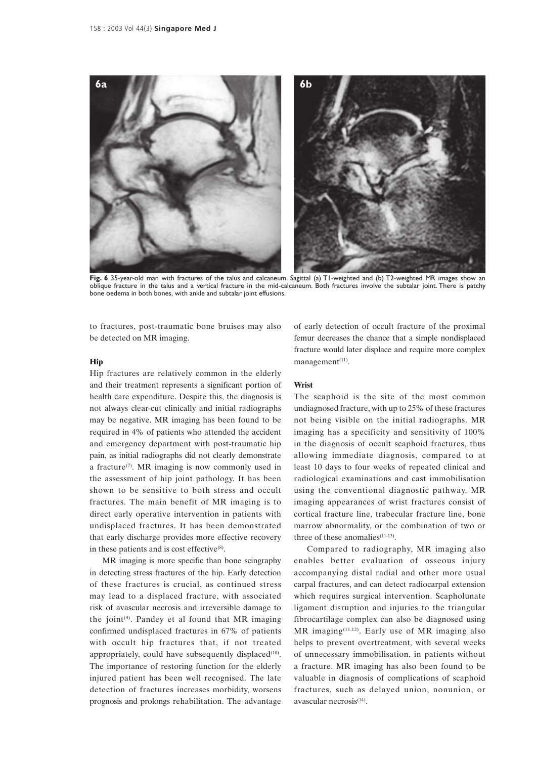

**Fig. 6** 35-year-old man with fractures of the talus and calcaneum. Sagittal (a) T1-weighted and (b) T2-weighted MR images show an oblique fracture in the talus and a vertical fracture in the mid-calcaneum. Both fractures involve the subtalar joint. There is patchy bone oedema in both bones, with ankle and subtalar joint effusions.

to fractures, post-traumatic bone bruises may also be detected on MR imaging.

## **Hip**

Hip fractures are relatively common in the elderly and their treatment represents a significant portion of health care expenditure. Despite this, the diagnosis is not always clear-cut clinically and initial radiographs may be negative. MR imaging has been found to be required in 4% of patients who attended the accident and emergency department with post-traumatic hip pain, as initial radiographs did not clearly demonstrate a fracture(7). MR imaging is now commonly used in the assessment of hip joint pathology. It has been shown to be sensitive to both stress and occult fractures. The main benefit of MR imaging is to direct early operative intervention in patients with undisplaced fractures. It has been demonstrated that early discharge provides more effective recovery in these patients and is cost effective $(8)$ .

MR imaging is more specific than bone scingraphy in detecting stress fractures of the hip. Early detection of these fractures is crucial, as continued stress may lead to a displaced fracture, with associated risk of avascular necrosis and irreversible damage to the joint<sup> $(9)$ </sup>. Pandey et al found that MR imaging confirmed undisplaced fractures in 67% of patients with occult hip fractures that, if not treated appropriately, could have subsequently displaced $(10)$ . The importance of restoring function for the elderly injured patient has been well recognised. The late detection of fractures increases morbidity, worsens prognosis and prolongs rehabilitation. The advantage of early detection of occult fracture of the proximal femur decreases the chance that a simple nondisplaced fracture would later displace and require more complex management $(11)$ .

#### **Wrist**

The scaphoid is the site of the most common undiagnosed fracture, with up to 25% of these fractures not being visible on the initial radiographs. MR imaging has a specificity and sensitivity of 100% in the diagnosis of occult scaphoid fractures, thus allowing immediate diagnosis, compared to at least 10 days to four weeks of repeated clinical and radiological examinations and cast immobilisation using the conventional diagnostic pathway. MR imaging appearances of wrist fractures consist of cortical fracture line, trabecular fracture line, bone marrow abnormality, or the combination of two or three of these anomalies<sup>(11-13)</sup>.

Compared to radiography, MR imaging also enables better evaluation of osseous injury accompanying distal radial and other more usual carpal fractures, and can detect radiocarpal extension which requires surgical intervention. Scapholunate ligament disruption and injuries to the triangular fibrocartilage complex can also be diagnosed using  $MR$  imaging<sup>(11,12)</sup>. Early use of MR imaging also helps to prevent overtreatment, with several weeks of unnecessary immobilisation, in patients without a fracture. MR imaging has also been found to be valuable in diagnosis of complications of scaphoid fractures, such as delayed union, nonunion, or avascular necrosis $(14)$ .